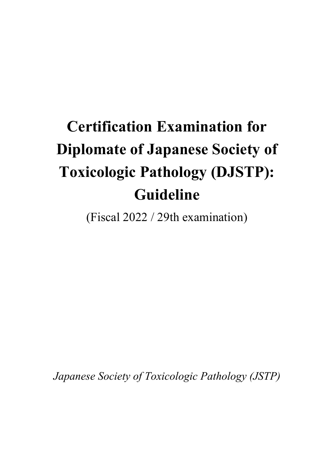# **Certification Examination for Diplomate of Japanese Society of Toxicologic Pathology (DJSTP): Guideline**

(Fiscal 2022 / 29th examination)

*Japanese Society of Toxicologic Pathology (JSTP)*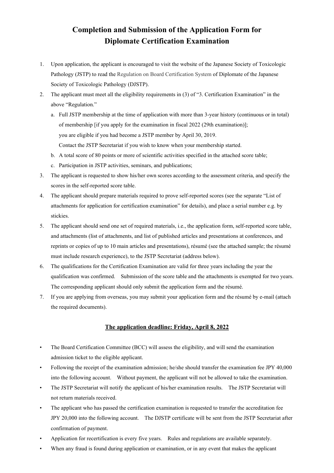# **Completion and Submission of the Application Form for Diplomate Certification Examination**

- 1. Upon application, the applicant is encouraged to visit the website of the Japanese Society of Toxicologic Pathology (JSTP) to read the Regulation on Board Certification System of Diplomate of the Japanese Society of Toxicologic Pathology (DJSTP).
- 2. The applicant must meet all the eligibility requirements in (3) of "3. Certification Examination" in the above "Regulation."
	- a. Full JSTP membership at the time of application with more than 3-year history (continuous or in total) of membership [if you apply for the examination in fiscal 2022 (29th examination)]; you are eligible if you had become a JSTP member by April 30, 2019. Contact the JSTP Secretariat if you wish to know when your membership started.
	- b. A total score of 80 points or more of scientific activities specified in the attached score table;
	- c. Participation in JSTP activities, seminars, and publications;
- 3. The applicant is requested to show his/her own scores according to the assessment criteria, and specify the scores in the self-reported score table.
- 4. The applicant should prepare materials required to prove self-reported scores (see the separate "List of attachments for application for certification examination" for details), and place a serial number e.g. by stickies.
- 5. The applicant should send one set of required materials, i.e., the application form, self-reported score table, and attachments (list of attachments, and list of published articles and presentations at conferences, and reprints or copies of up to 10 main articles and presentations), résumé (see the attached sample; the résumé must include research experience), to the JSTP Secretariat (address below).
- 6. The qualifications for the Certification Examination are valid for three years including the year the qualification was confirmed. Submission of the score table and the attachments is exempted for two years. The corresponding applicant should only submit the application form and the résumé.
- 7. If you are applying from overseas, you may submit your application form and the résumé by e-mail (attach the required documents).

#### **The application deadline: Friday, April 8, 2022**

- The Board Certification Committee (BCC) will assess the eligibility, and will send the examination admission ticket to the eligible applicant.
- Following the receipt of the examination admission; he/she should transfer the examination fee JPY 40,000 into the following account. Without payment, the applicant will not be allowed to take the examination.
- The JSTP Secretariat will notify the applicant of his/her examination results. The JSTP Secretariat will not return materials received.
- The applicant who has passed the certification examination is requested to transfer the accreditation fee JPY 20,000 into the following account. The DJSTP certificate will be sent from the JSTP Secretariat after confirmation of payment.
- Application for recertification is every five years. Rules and regulations are available separately.
- When any fraud is found during application or examination, or in any event that makes the applicant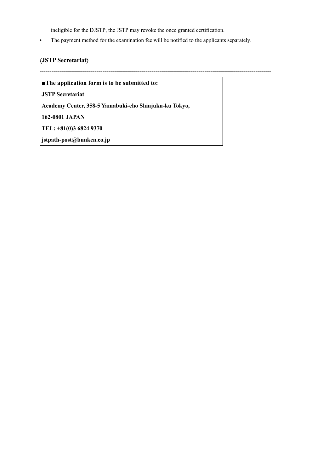ineligible for the DJSTP, the JSTP may revoke the once granted certification.

• The payment method for the examination fee will be notified to the applicants separately.

#### á**JSTP Secretariat**ñ

**----------------------------------------------------------------------------------------------------------------------** 

**■The application form is to be submitted to:** 

**JSTP Secretariat** 

**Academy Center, 358-5 Yamabuki-cho Shinjuku-ku Tokyo,** 

**162-0801 JAPAN** 

**TEL: +81(0)3 6824 9370** 

**jstpath-post@bunken.co.jp**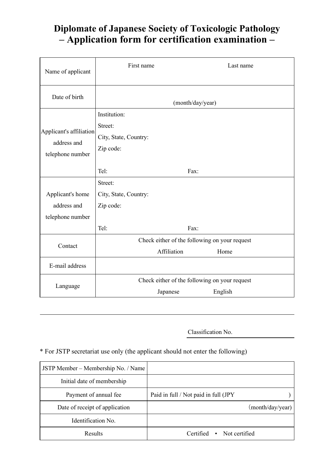# **Diplomate of Japanese Society of Toxicologic Pathology – Application form for certification examination –**

| Name of applicant                                          | First name                         |                                               | Last name |  |
|------------------------------------------------------------|------------------------------------|-----------------------------------------------|-----------|--|
| Date of birth                                              |                                    | (month/day/year)                              |           |  |
|                                                            | Institution:<br>Street:            |                                               |           |  |
| Applicant's affiliation<br>address and<br>telephone number | City, State, Country:<br>Zip code: |                                               |           |  |
|                                                            | Tel:                               | Fax:                                          |           |  |
|                                                            | Street:                            |                                               |           |  |
| Applicant's home                                           | City, State, Country:              |                                               |           |  |
| address and                                                | Zip code:                          |                                               |           |  |
| telephone number                                           |                                    |                                               |           |  |
|                                                            | Tel:<br>Fax:                       |                                               |           |  |
| Contact                                                    |                                    | Check either of the following on your request |           |  |
|                                                            |                                    | Affiliation                                   | Home      |  |
| E-mail address                                             |                                    |                                               |           |  |
|                                                            |                                    | Check either of the following on your request |           |  |
| Language                                                   |                                    | Japanese                                      | English   |  |

Classification No.

# \* For JSTP secretariat use only (the applicant should not enter the following)

| JSTP Member – Membership No. / Name |                                         |
|-------------------------------------|-----------------------------------------|
| Initial date of membership          |                                         |
| Payment of annual fee               | Paid in full / Not paid in full (JPY    |
| Date of receipt of application      | (month/day/year)                        |
| Identification No.                  |                                         |
| <b>Results</b>                      | Not certified<br>Certified<br>$\bullet$ |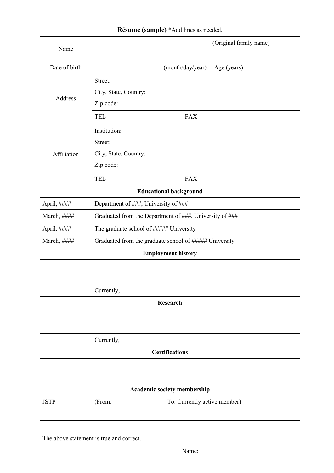## **Résumé (sample)** \*Add lines as needed.

| Name          |                                                                             |                  | (Original family name) |
|---------------|-----------------------------------------------------------------------------|------------------|------------------------|
| Date of birth |                                                                             | (month/day/year) | Age (years)            |
| Address       | Street:<br>City, State, Country:<br>Zip code:<br><b>TEL</b>                 | <b>FAX</b>       |                        |
| Affiliation   | Institution:<br>Street:<br>City, State, Country:<br>Zip code:<br><b>TEL</b> | <b>FAX</b>       |                        |

#### **Educational background**

| April, #### | Department of ###, University of ###                    |
|-------------|---------------------------------------------------------|
| March, #### | Graduated from the Department of ###, University of ### |
| April, #### | The graduate school of ###### University                |
| March, #### | Graduated from the graduate school of ##### University  |

### **Employment history**

| Currently, |
|------------|

#### **Research**

| Currently, |
|------------|

#### **Certifications**

#### **Academic society membership**

| <b>ICTD</b> | (From: | To: Currently active member) |
|-------------|--------|------------------------------|
|             |        |                              |

The above statement is true and correct.

Name: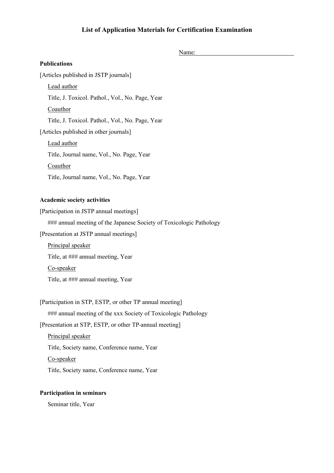#### **List of Application Materials for Certification Examination**

Name: **Publications**  [Articles published in JSTP journals] Lead author Title, J. Toxicol. Pathol., Vol., No. Page, Year **Coauthor** Title, J. Toxicol. Pathol., Vol., No. Page, Year [Articles published in other journals] Lead author Title, Journal name, Vol., No. Page, Year Coauthor Title, Journal name, Vol., No. Page, Year **Academic society activities** 

#### [Participation in JSTP annual meetings]

### annual meeting of the Japanese Society of Toxicologic Pathology

[Presentation at JSTP annual meetings]

Principal speaker Title, at ### annual meeting, Year Co-speaker Title, at ### annual meeting, Year

[Participation in STP, ESTP, or other TP annual meeting] ### annual meeting of the xxx Society of Toxicologic Pathology [Presentation at STP, ESTP, or other TP-annual meeting]

Principal speaker Title, Society name, Conference name, Year Co-speaker Title, Society name, Conference name, Year

#### **Participation in seminars**

Seminar title, Year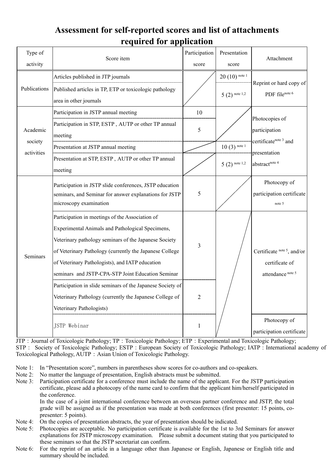# **Assessment for self-reported scores and list of attachments required for application**

| Type of<br>activity               | Score item                                                                                                                                                                                                                                                                                                                                                                                                                                                                           | Participation<br>score | Presentation<br>score              | Attachment                                                                                            |  |
|-----------------------------------|--------------------------------------------------------------------------------------------------------------------------------------------------------------------------------------------------------------------------------------------------------------------------------------------------------------------------------------------------------------------------------------------------------------------------------------------------------------------------------------|------------------------|------------------------------------|-------------------------------------------------------------------------------------------------------|--|
| Publications                      | Articles published in JTP journals<br>Published articles in TP, ETP or toxicologic pathology<br>area in other journals                                                                                                                                                                                                                                                                                                                                                               |                        | $20(10)$ note 1<br>$5(2)$ note 1,2 | Reprint or hard copy of<br>PDF filenote 6                                                             |  |
| Academic<br>society<br>activities | Participation in JSTP annual meeting<br>Participation in STP, ESTP, AUTP or other TP annual<br>meeting<br>Presentation at JSTP annual meeting<br>Presentation at STP, ESTP, AUTP or other TP annual<br>meeting                                                                                                                                                                                                                                                                       | 10<br>5                | $10(3)$ note 1<br>$5(2)$ note 1,2  | Photocopies of<br>participation<br>certificatenote <sup>3</sup> and<br>presentation<br>abstractnote 4 |  |
| Seminars                          | Participation in JSTP slide conferences, JSTP education<br>seminars, and Seminar for answer explanations for JSTP<br>microscopy examination                                                                                                                                                                                                                                                                                                                                          | 5                      |                                    | Photocopy of<br>participation certificate<br>note 5                                                   |  |
|                                   | Participation in meetings of the Association of<br>Experimental Animals and Pathological Specimens,<br>Veterinary pathology seminars of the Japanese Society<br>of Veterinary Pathology (currently the Japanese College<br>of Veterinary Pathologists), and IATP education<br>seminars and JSTP-CPA-STP Joint Education Seminar<br>Participation in slide seminars of the Japanese Society of<br>Veterinary Pathology (currently the Japanese College of<br>Veterinary Pathologists) | 3<br>$\overline{2}$    |                                    | Certificate note 5, and/or<br>certificate of<br>attendance note 5                                     |  |
|                                   | JSTP Webinar                                                                                                                                                                                                                                                                                                                                                                                                                                                                         | $\mathbf{1}$           |                                    | Photocopy of<br>participation certificate                                                             |  |

JTP: Journal of Toxicologic Pathology; TP: Toxicologic Pathology; ETP: Experimental and Toxicologic Pathology; STP: Society of Toxicologic Pathology; ESTP: European Society of Toxicologic Pathology; IATP: International academy of Toxicological Pathology, AUTP: Asian Union of Toxicologic Pathology.

- Note 1: In "Presentation score", numbers in parentheses show scores for co-authors and co-speakers.
- Note 2: No matter the language of presentation, English abstracts must be submitted.
- Note 3: Participation certificate for a conference must include the name of the applicant. For the JSTP participation certificate, please add a photocopy of the name card to confirm that the applicant him/herself participated in the conference.

 In the case of a joint international conference between an overseas partner conference and JSTP, the total grade will be assigned as if the presentation was made at both conferences (first presenter: 15 points, copresenter: 5 points).

- Note 4: On the copies of presentation abstracts, the year of presentation should be indicated.
- Note 5: Photocopies are acceptable. No participation certificate is available for the 1st to 3rd Seminars for answer explanations for JSTP microscopy examination. Please submit a document stating that you participated to these seminars so that the JSTP secretariat can confirm.
- Note 6: For the reprint of an article in a language other than Japanese or English, Japanese or English title and summary should be included.